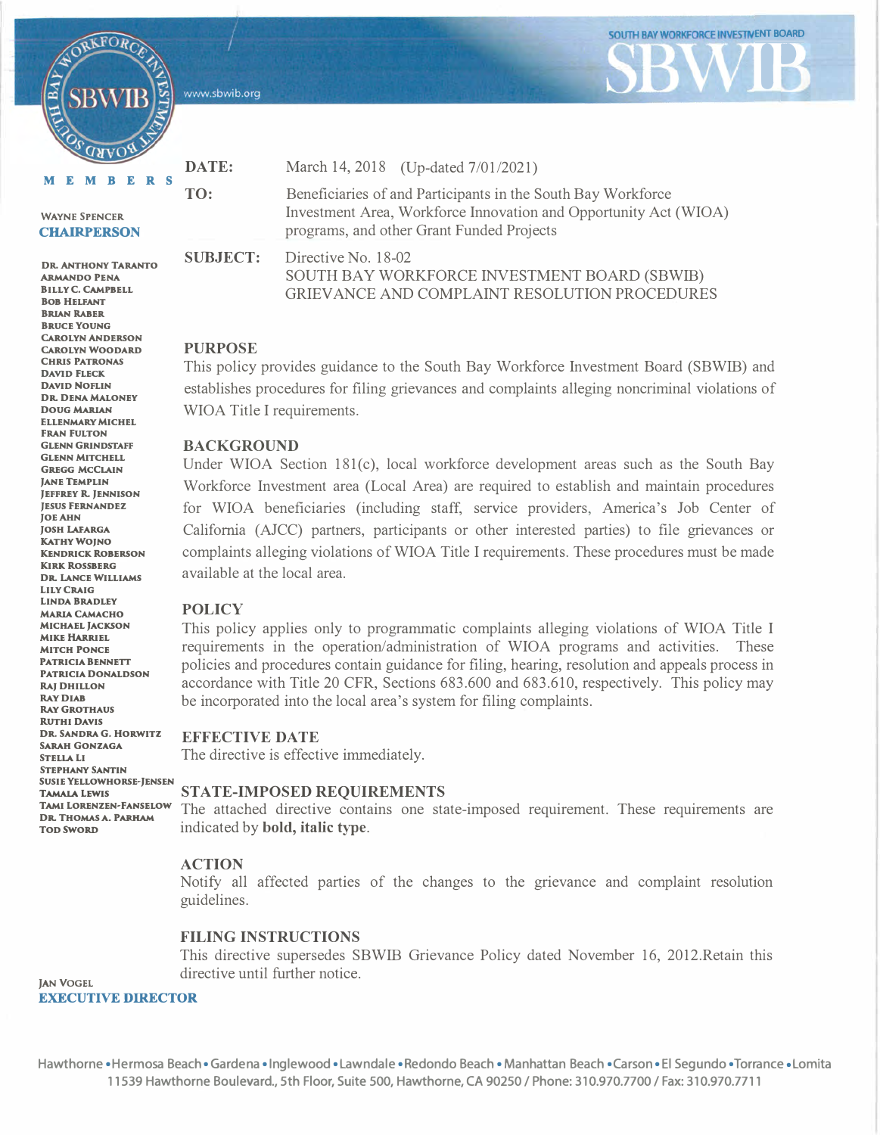www.sbwib.org

**MEMBERS DATE: TO:** 

#### **WAYNE SPENCER CHAIRPERSON**

RKFOR

**AllMANDO PENA DR. ANTHONY TARANTO BILLY C. CAMPBELL BOB HELFANT BRIAN RABER BRUCE YOUNG CAROLYN ANDERSON CAROLYN WOODARD CHRIS PATRONAS DAVID FLECK DAVID NOFLIN DR. DENA MALONEY DOUG.MARIAN ELLENMARY MICHEL FRAN FULTON GLENN GRINDSTAFF GLENN MITCHELL GREGG MCCLAIN JANE TEMPLIN JEFFREY R. JENNISON JESUS FERNANDEZ JOEAHN JOSH LAFARGA KATHY WOJNO KENDRICK ROBERSON KIRK ROSSBERG DR. LANCE WILLIAMS LILY CRAIG LINDA BRADLEY MARIA CAMACHO MICHAEL JACKSON MIKE HARRIEL MITCH PONCE PATRICIA BENNETT PATRICIA DONALDSON RAJ DHILLON RAYDIAB RAY GROTHAUS RUTHI DAVIS DR. SANDRA G. HORWITZ SARAH GONZAGA STELLA LI STEPHANY SANTIN SUSIE YELLOWHORSE-JENSEN**  March 14, 2018 (Up-dated 7/01/2021)

Beneficiaries of and Participants in the South Bay Workforce Investment Area, Workforce Innovation and Opportunity Act (WIOA) programs, and other Grant Funded Projects

**SOUTH BAY WORKFORCE INVESTMENT BOARD** 

**B** 

**SUBJECT:** 

Directive No. 18-02 SOUTH BAY WORKFORCE INVESTMENT BOARD (SBWIB) GRIEVANCE AND COMPLAINT RESOLUTION PROCEDURES

#### **PURPOSE**

This policy provides guidance to the South Bay Workforce Investment Board (SBWIB) and establishes procedures for filing grievances and complaints alleging noncriminal violations of WIOA Title I requirements.

#### **BACKGROUND**

Under WIOA Section  $181(c)$ , local workforce development areas such as the South Bay Workforce Investment area (Local Area) are required to establish and maintain procedures for WIOA beneficiaries (including staff, service providers, America's Job Center of California (AJCC) partners, participants or other interested parties) to file grievances or complaints alleging violations of WIOA Title I requirements. These procedures must be made available at the local area.

#### **POLICY**

This policy applies only to programmatic complaints alleging violations of WIOA Title I requirements in the operation/administration of WIOA programs and activities. These policies and procedures contain guidance for filing, hearing, resolution and appeals process in accordance with Title 20 CFR, Sections 683.600 and 683.610, respectively. This policy may be incorporated into the local area's system for filing complaints.

#### **EFFECTIVE DATE**

The directive is effective immediately.

# **TAMALALEWIS STATE-IMPOSED REQU<sup>I</sup> REMENTS**

**TAMI LoRENZEN-FANSELow** The attached directive contains one state-imposed requirement. These requirements are **DR. THOMAS A. PARHAM ToD swoRD** indicated by **bold, italic type.** 

## **ACTION**

Notify all affected parties of the changes to the grievance and complaint resolution guidelines.

## **FILING INSTRUCTIONS**

This directive supersedes SBWIB Grievance Policy dated November 16, 2012.Retain this directive until further notice.

**EXECUTIVE DIRECTOR** 

**JAN VOGEL**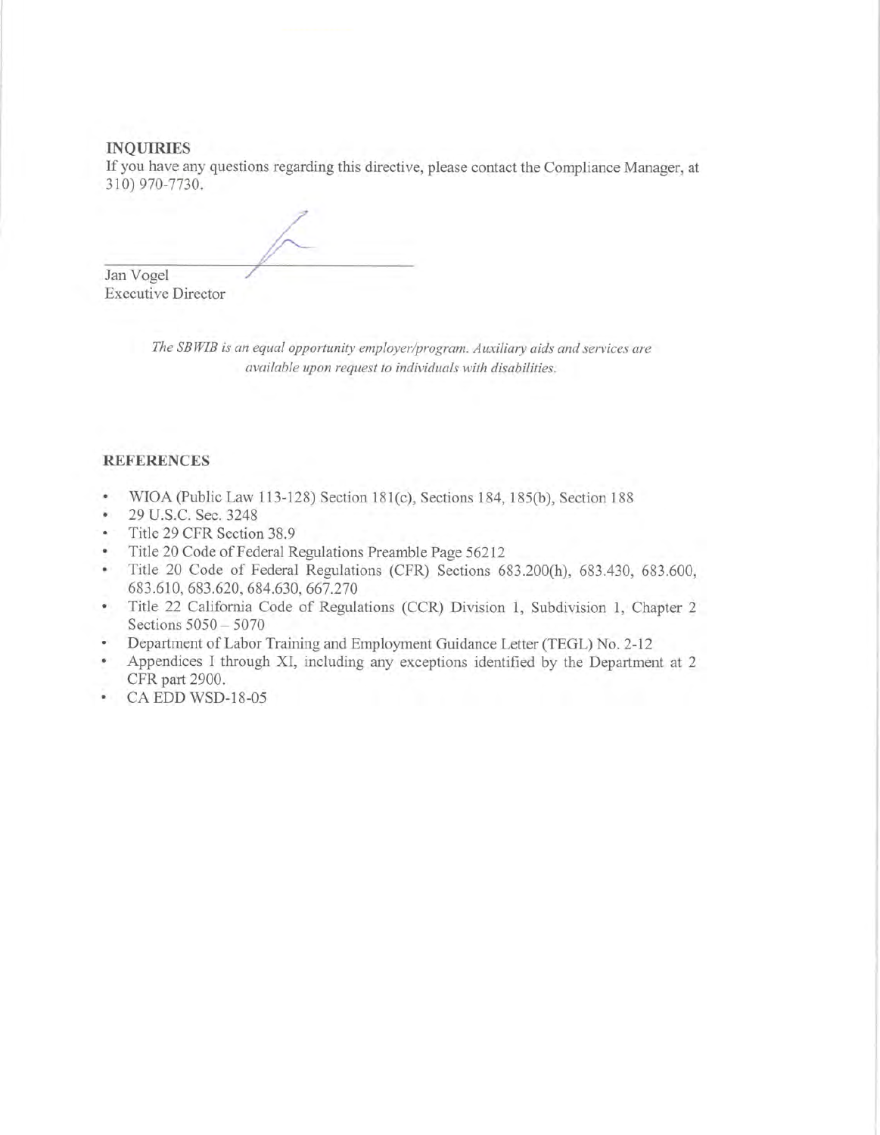#### **INQUIRIES**

If you have any questions regarding this directive, please contact the Compliance Manager, at 310) 970-7730.

Jan Vogel

**Executive Director** 

The SBWIB is an equal opportunity employer/program. Auxiliary aids and services are available upon request to individuals with disabilities.

## **REFERENCES**

- WIOA (Public Law 113-128) Section 181(c), Sections 184, 185(b), Section 188  $\bullet$
- 29 U.S.C. Sec. 3248 ¥.
- Title 29 CFR Section 38.9  $\bullet$
- Title 20 Code of Federal Regulations Preamble Page 56212 ÷.
- Title 20 Code of Federal Regulations (CFR) Sections 683.200(h), 683.430, 683.600,  $\bullet$ 683.610, 683.620, 684.630, 667.270
- Title 22 California Code of Regulations (CCR) Division 1, Subdivision 1, Chapter 2  $\bullet$  . Sections 5050 - 5070
- Department of Labor Training and Employment Guidance Letter (TEGL) No. 2-12
- Appendices I through XI, including any exceptions identified by the Department at 2  $\bullet$ CFR part 2900.
- CA EDD WSD-18-05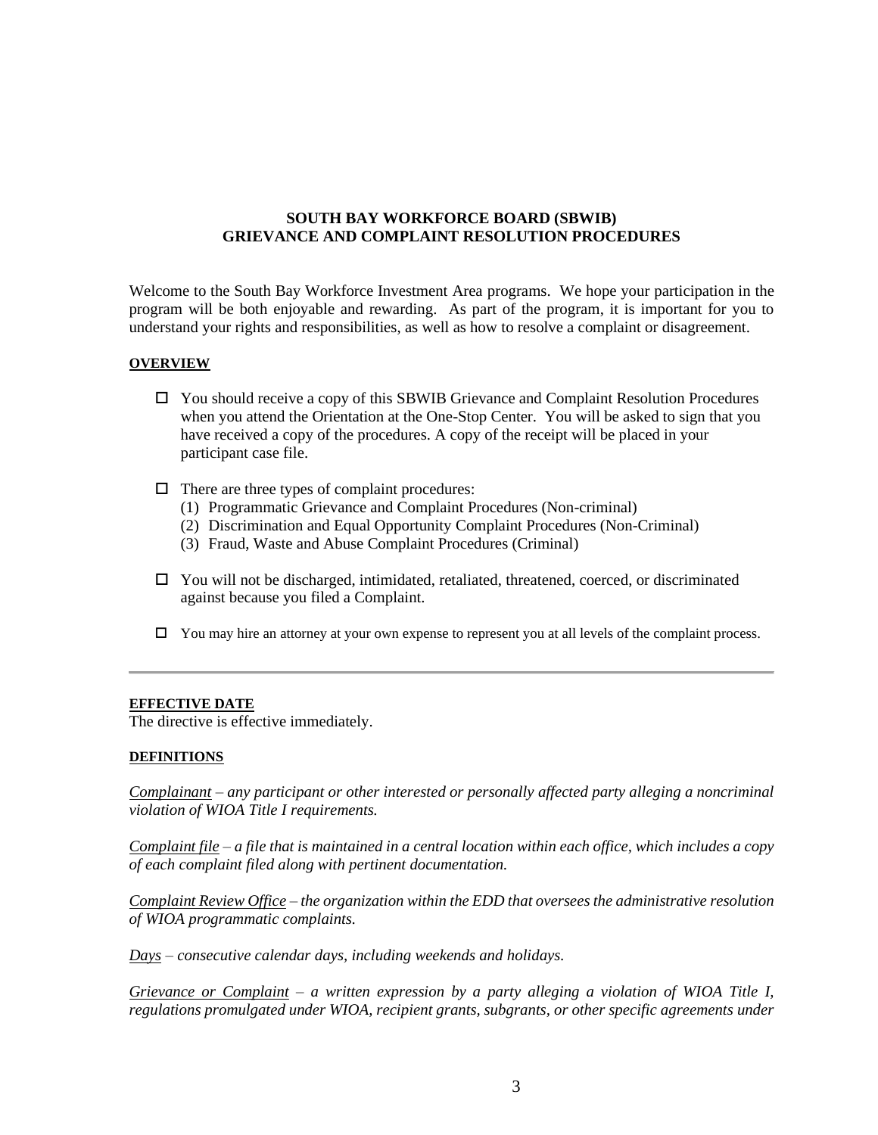# **SOUTH BAY WORKFORCE BOARD (SBWIB) GRIEVANCE AND COMPLAINT RESOLUTION PROCEDURES**

Welcome to the South Bay Workforce Investment Area programs. We hope your participation in the program will be both enjoyable and rewarding. As part of the program, it is important for you to understand your rights and responsibilities, as well as how to resolve a complaint or disagreement.

#### **OVERVIEW**

- You should receive a copy of this SBWIB Grievance and Complaint Resolution Procedures when you attend the Orientation at the One-Stop Center. You will be asked to sign that you have received a copy of the procedures. A copy of the receipt will be placed in your participant case file.
- $\Box$  There are three types of complaint procedures:
	- (1) Programmatic Grievance and Complaint Procedures (Non-criminal)
	- (2) Discrimination and Equal Opportunity Complaint Procedures (Non-Criminal)
	- (3) Fraud, Waste and Abuse Complaint Procedures (Criminal)
- $\Box$  You will not be discharged, intimidated, retaliated, threatened, coerced, or discriminated against because you filed a Complaint.
- $\Box$  You may hire an attorney at your own expense to represent you at all levels of the complaint process.

## **EFFECTIVE DATE**

The directive is effective immediately.

## **DEFINITIONS**

*Complainant – any participant or other interested or personally affected party alleging a noncriminal violation of WIOA Title I requirements.*

*Complaint file – a file that is maintained in a central location within each office, which includes a copy of each complaint filed along with pertinent documentation.*

*Complaint Review Office – the organization within the EDD that oversees the administrative resolution of WIOA programmatic complaints.*

*Days – consecutive calendar days, including weekends and holidays.*

*Grievance or Complaint – a written expression by a party alleging a violation of WIOA Title I, regulations promulgated under WIOA, recipient grants, subgrants, or other specific agreements under*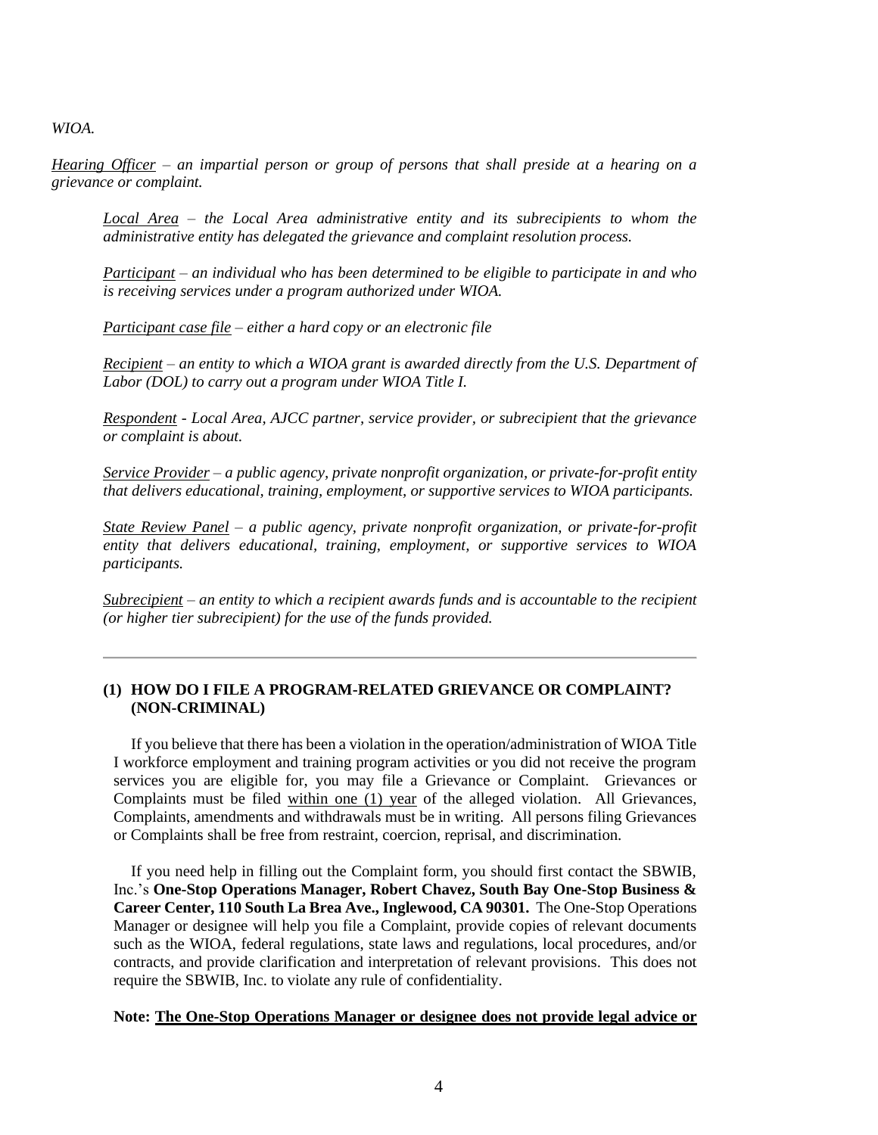*WIOA.*

*Hearing Officer – an impartial person or group of persons that shall preside at a hearing on a grievance or complaint.*

*Local Area – the Local Area administrative entity and its subrecipients to whom the administrative entity has delegated the grievance and complaint resolution process.*

*Participant – an individual who has been determined to be eligible to participate in and who is receiving services under a program authorized under WIOA.*

*Participant case file – either a hard copy or an electronic file*

*Recipient – an entity to which a WIOA grant is awarded directly from the U.S. Department of Labor (DOL) to carry out a program under WIOA Title I.*

*Respondent - Local Area, AJCC partner, service provider, or subrecipient that the grievance or complaint is about.*

*Service Provider – a public agency, private nonprofit organization, or private-for-profit entity that delivers educational, training, employment, or supportive services to WIOA participants.*

*State Review Panel – a public agency, private nonprofit organization, or private-for-profit entity that delivers educational, training, employment, or supportive services to WIOA participants.*

*Subrecipient – an entity to which a recipient awards funds and is accountable to the recipient (or higher tier subrecipient) for the use of the funds provided.*

## **(1) HOW DO I FILE A PROGRAM-RELATED GRIEVANCE OR COMPLAINT? (NON-CRIMINAL)**

If you believe that there has been a violation in the operation/administration of WIOA Title I workforce employment and training program activities or you did not receive the program services you are eligible for, you may file a Grievance or Complaint. Grievances or Complaints must be filed within one (1) year of the alleged violation. All Grievances, Complaints, amendments and withdrawals must be in writing. All persons filing Grievances or Complaints shall be free from restraint, coercion, reprisal, and discrimination.

If you need help in filling out the Complaint form, you should first contact the SBWIB, Inc.'s **One-Stop Operations Manager, Robert Chavez, South Bay One-Stop Business & Career Center, 110 South La Brea Ave., Inglewood, CA 90301.** The One-Stop Operations Manager or designee will help you file a Complaint, provide copies of relevant documents such as the WIOA, federal regulations, state laws and regulations, local procedures, and/or contracts, and provide clarification and interpretation of relevant provisions. This does not require the SBWIB, Inc. to violate any rule of confidentiality.

#### **Note: The One-Stop Operations Manager or designee does not provide legal advice or**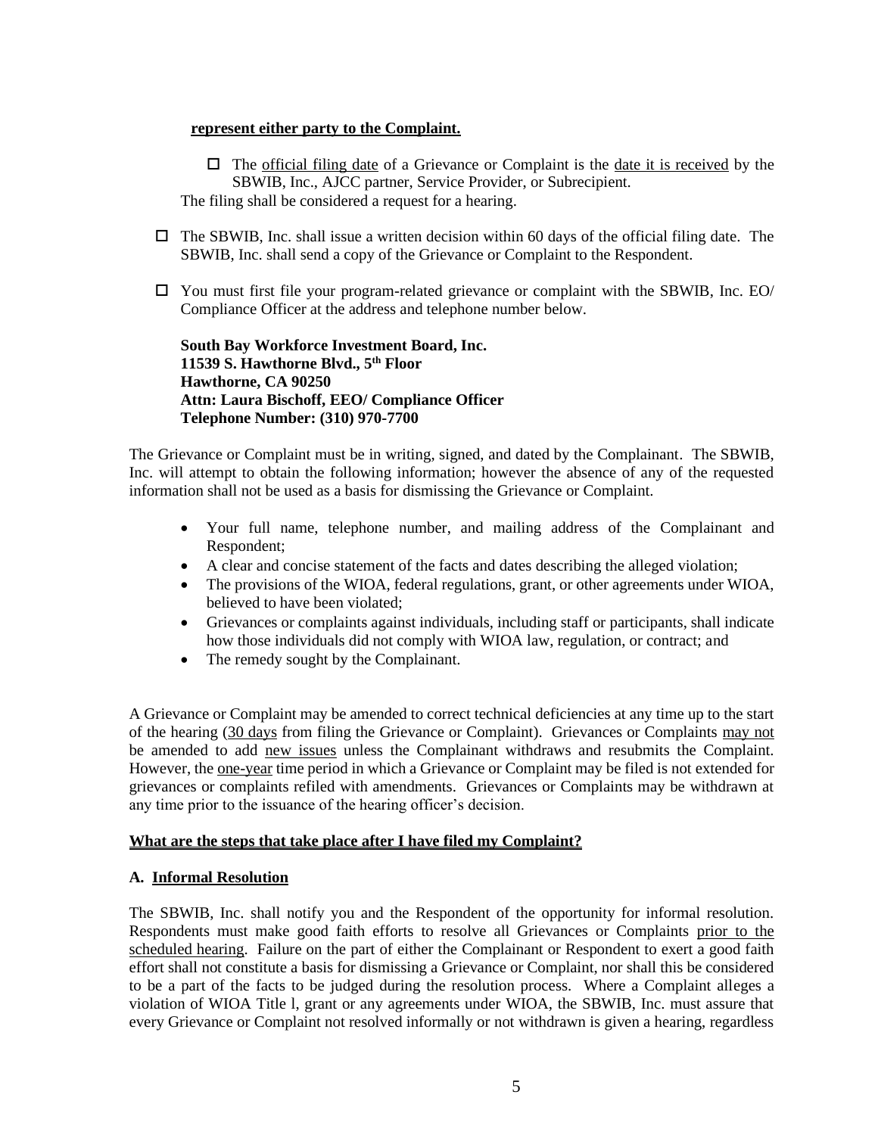#### **represent either party to the Complaint.**

 $\Box$  The <u>official filing date</u> of a Grievance or Complaint is the <u>date it is received</u> by the SBWIB, Inc., AJCC partner, Service Provider, or Subrecipient. The filing shall be considered a request for a hearing.

- $\Box$  The SBWIB, Inc. shall issue a written decision within 60 days of the official filing date. The SBWIB, Inc. shall send a copy of the Grievance or Complaint to the Respondent.
- $\Box$  You must first file your program-related grievance or complaint with the SBWIB, Inc. EO/ Compliance Officer at the address and telephone number below.

**South Bay Workforce Investment Board, Inc. 11539 S. Hawthorne Blvd., 5th Floor Hawthorne, CA 90250 Attn: Laura Bischoff, EEO/ Compliance Officer Telephone Number: (310) 970-7700**

The Grievance or Complaint must be in writing, signed, and dated by the Complainant. The SBWIB, Inc. will attempt to obtain the following information; however the absence of any of the requested information shall not be used as a basis for dismissing the Grievance or Complaint.

- Your full name, telephone number, and mailing address of the Complainant and Respondent;
- A clear and concise statement of the facts and dates describing the alleged violation;
- The provisions of the WIOA, federal regulations, grant, or other agreements under WIOA, believed to have been violated;
- Grievances or complaints against individuals, including staff or participants, shall indicate how those individuals did not comply with WIOA law, regulation, or contract; and
- The remedy sought by the Complainant.

A Grievance or Complaint may be amended to correct technical deficiencies at any time up to the start of the hearing (30 days from filing the Grievance or Complaint). Grievances or Complaints may not be amended to add new issues unless the Complainant withdraws and resubmits the Complaint. However, the one-year time period in which a Grievance or Complaint may be filed is not extended for grievances or complaints refiled with amendments. Grievances or Complaints may be withdrawn at any time prior to the issuance of the hearing officer's decision.

## **What are the steps that take place after I have filed my Complaint?**

## **A. Informal Resolution**

The SBWIB, Inc. shall notify you and the Respondent of the opportunity for informal resolution. Respondents must make good faith efforts to resolve all Grievances or Complaints prior to the scheduled hearing. Failure on the part of either the Complainant or Respondent to exert a good faith effort shall not constitute a basis for dismissing a Grievance or Complaint, nor shall this be considered to be a part of the facts to be judged during the resolution process. Where a Complaint alleges a violation of WIOA Title l, grant or any agreements under WIOA, the SBWIB, Inc. must assure that every Grievance or Complaint not resolved informally or not withdrawn is given a hearing, regardless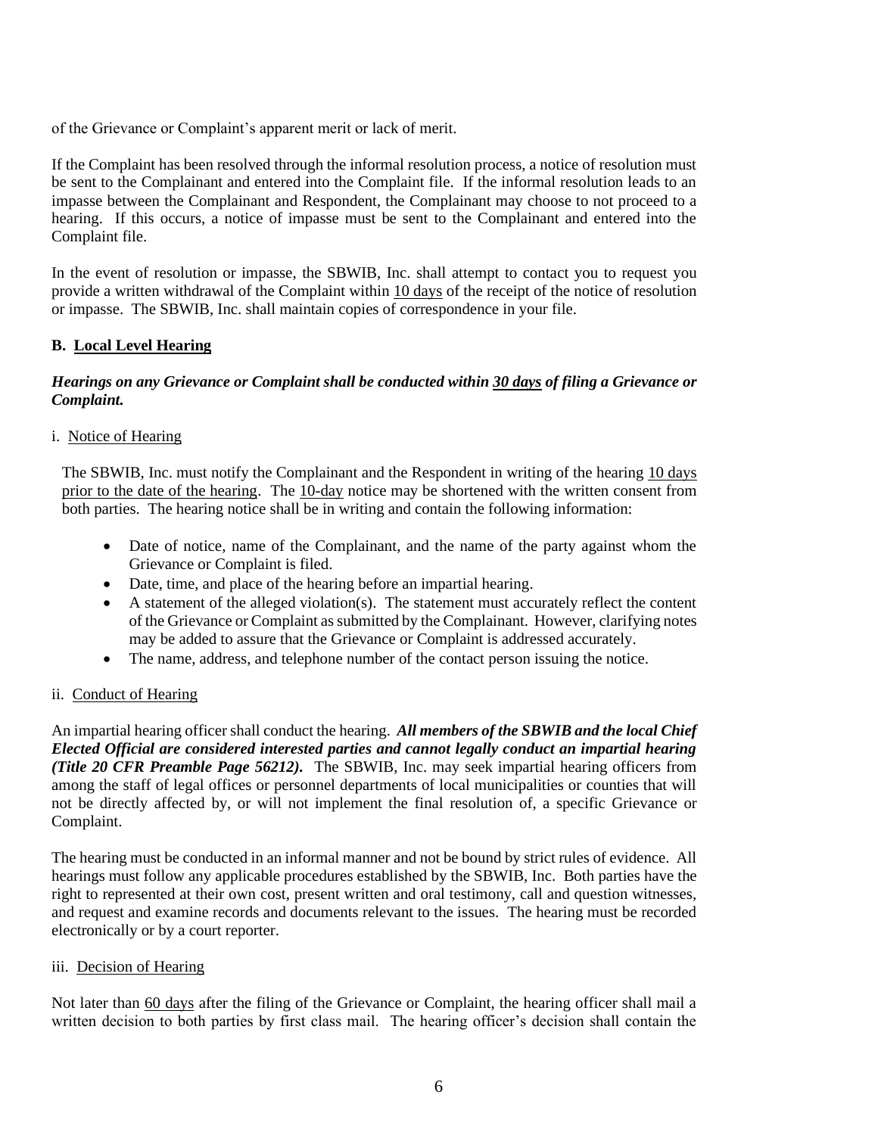of the Grievance or Complaint's apparent merit or lack of merit.

If the Complaint has been resolved through the informal resolution process, a notice of resolution must be sent to the Complainant and entered into the Complaint file. If the informal resolution leads to an impasse between the Complainant and Respondent, the Complainant may choose to not proceed to a hearing. If this occurs, a notice of impasse must be sent to the Complainant and entered into the Complaint file.

In the event of resolution or impasse, the SBWIB, Inc. shall attempt to contact you to request you provide a written withdrawal of the Complaint within 10 days of the receipt of the notice of resolution or impasse. The SBWIB, Inc. shall maintain copies of correspondence in your file.

## **B. Local Level Hearing**

# *Hearings on any Grievance or Complaint shall be conducted within 30 days of filing a Grievance or Complaint.*

## i. Notice of Hearing

The SBWIB, Inc. must notify the Complainant and the Respondent in writing of the hearing 10 days prior to the date of the hearing. The 10-day notice may be shortened with the written consent from both parties. The hearing notice shall be in writing and contain the following information:

- Date of notice, name of the Complainant, and the name of the party against whom the Grievance or Complaint is filed.
- Date, time, and place of the hearing before an impartial hearing.
- A statement of the alleged violation(s). The statement must accurately reflect the content of the Grievance or Complaint as submitted by the Complainant. However, clarifying notes may be added to assure that the Grievance or Complaint is addressed accurately.
- The name, address, and telephone number of the contact person issuing the notice.

## ii. Conduct of Hearing

An impartial hearing officer shall conduct the hearing. *All members of the SBWIB and the local Chief Elected Official are considered interested parties and cannot legally conduct an impartial hearing (Title 20 CFR Preamble Page 56212).* The SBWIB, Inc. may seek impartial hearing officers from among the staff of legal offices or personnel departments of local municipalities or counties that will not be directly affected by, or will not implement the final resolution of, a specific Grievance or Complaint.

The hearing must be conducted in an informal manner and not be bound by strict rules of evidence. All hearings must follow any applicable procedures established by the SBWIB, Inc. Both parties have the right to represented at their own cost, present written and oral testimony, call and question witnesses, and request and examine records and documents relevant to the issues. The hearing must be recorded electronically or by a court reporter.

## iii. Decision of Hearing

Not later than 60 days after the filing of the Grievance or Complaint, the hearing officer shall mail a written decision to both parties by first class mail. The hearing officer's decision shall contain the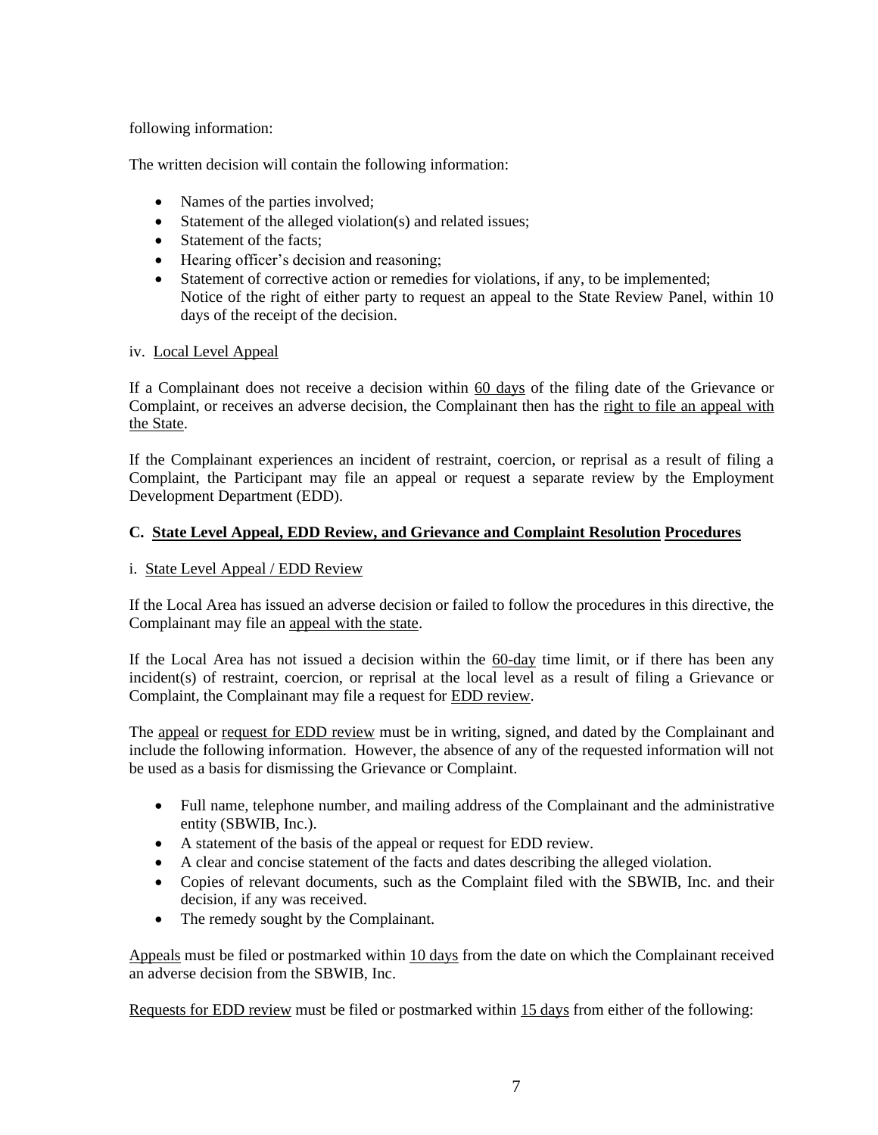## following information:

The written decision will contain the following information:

- Names of the parties involved;
- Statement of the alleged violation(s) and related issues;
- Statement of the facts;
- Hearing officer's decision and reasoning;
- Statement of corrective action or remedies for violations, if any, to be implemented; Notice of the right of either party to request an appeal to the State Review Panel, within 10 days of the receipt of the decision.

# iv. Local Level Appeal

If a Complainant does not receive a decision within 60 days of the filing date of the Grievance or Complaint, or receives an adverse decision, the Complainant then has the right to file an appeal with the State.

If the Complainant experiences an incident of restraint, coercion, or reprisal as a result of filing a Complaint, the Participant may file an appeal or request a separate review by the Employment Development Department (EDD).

# **C. State Level Appeal, EDD Review, and Grievance and Complaint Resolution Procedures**

# i. State Level Appeal / EDD Review

If the Local Area has issued an adverse decision or failed to follow the procedures in this directive, the Complainant may file an appeal with the state.

If the Local Area has not issued a decision within the 60-day time limit, or if there has been any incident(s) of restraint, coercion, or reprisal at the local level as a result of filing a Grievance or Complaint, the Complainant may file a request for EDD review.

The appeal or request for EDD review must be in writing, signed, and dated by the Complainant and include the following information. However, the absence of any of the requested information will not be used as a basis for dismissing the Grievance or Complaint.

- Full name, telephone number, and mailing address of the Complainant and the administrative entity (SBWIB, Inc.).
- A statement of the basis of the appeal or request for EDD review.
- A clear and concise statement of the facts and dates describing the alleged violation.
- Copies of relevant documents, such as the Complaint filed with the SBWIB, Inc. and their decision, if any was received.
- The remedy sought by the Complainant.

Appeals must be filed or postmarked within 10 days from the date on which the Complainant received an adverse decision from the SBWIB, Inc.

Requests for EDD review must be filed or postmarked within 15 days from either of the following: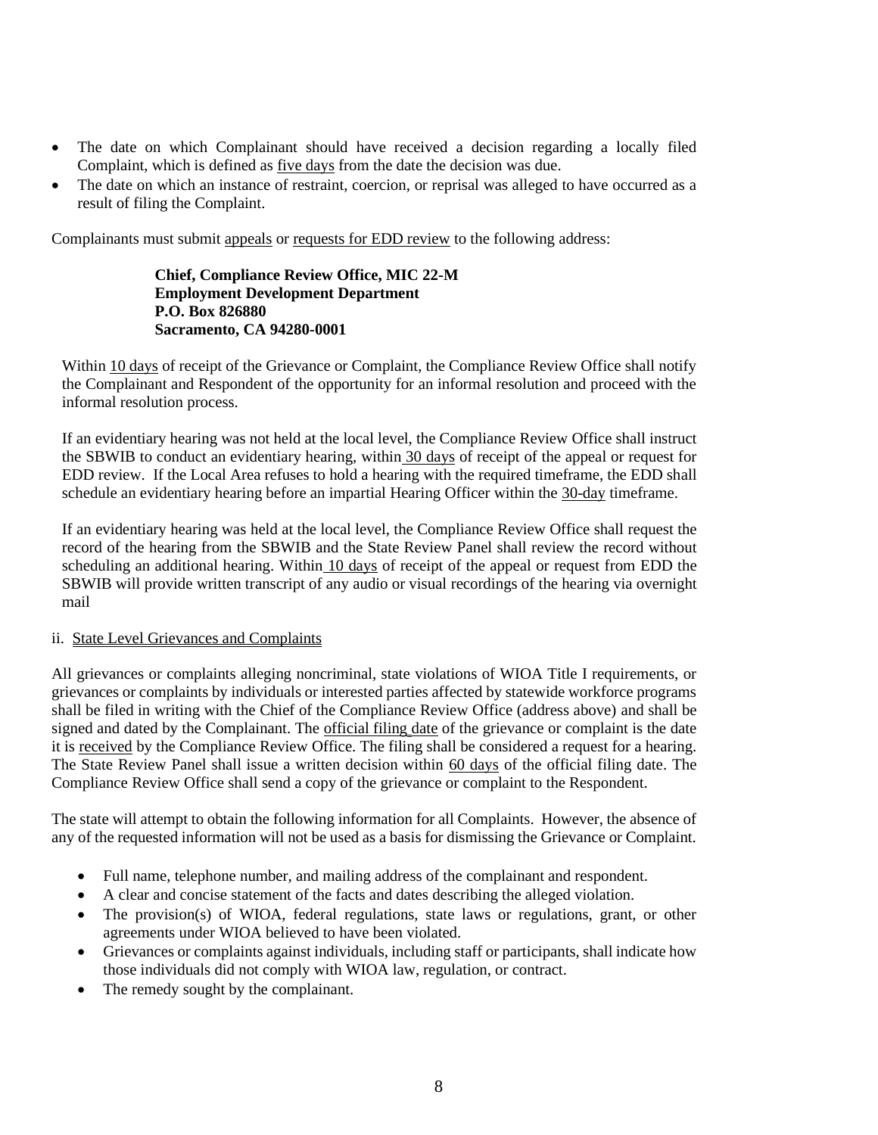- The date on which Complainant should have received a decision regarding a locally filed Complaint, which is defined as five days from the date the decision was due.
- The date on which an instance of restraint, coercion, or reprisal was alleged to have occurred as a result of filing the Complaint.

Complainants must submit appeals or requests for EDD review to the following address:

**Chief, Compliance Review Office, MIC 22-M Employment Development Department P.O. Box 826880 Sacramento, CA 94280-0001**

Within 10 days of receipt of the Grievance or Complaint, the Compliance Review Office shall notify the Complainant and Respondent of the opportunity for an informal resolution and proceed with the informal resolution process.

If an evidentiary hearing was not held at the local level, the Compliance Review Office shall instruct the SBWIB to conduct an evidentiary hearing, within 30 days of receipt of the appeal or request for EDD review. If the Local Area refuses to hold a hearing with the required timeframe, the EDD shall schedule an evidentiary hearing before an impartial Hearing Officer within the 30-day timeframe.

If an evidentiary hearing was held at the local level, the Compliance Review Office shall request the record of the hearing from the SBWIB and the State Review Panel shall review the record without scheduling an additional hearing. Within 10 days of receipt of the appeal or request from EDD the SBWIB will provide written transcript of any audio or visual recordings of the hearing via overnight mail

## ii. State Level Grievances and Complaints

All grievances or complaints alleging noncriminal, state violations of WIOA Title I requirements, or grievances or complaints by individuals or interested parties affected by statewide workforce programs shall be filed in writing with the Chief of the Compliance Review Office (address above) and shall be signed and dated by the Complainant. The official filing date of the grievance or complaint is the date it is received by the Compliance Review Office. The filing shall be considered a request for a hearing. The State Review Panel shall issue a written decision within 60 days of the official filing date. The Compliance Review Office shall send a copy of the grievance or complaint to the Respondent.

The state will attempt to obtain the following information for all Complaints. However, the absence of any of the requested information will not be used as a basis for dismissing the Grievance or Complaint.

- Full name, telephone number, and mailing address of the complainant and respondent.
- A clear and concise statement of the facts and dates describing the alleged violation.
- The provision(s) of WIOA, federal regulations, state laws or regulations, grant, or other agreements under WIOA believed to have been violated.
- Grievances or complaints against individuals, including staff or participants, shall indicate how those individuals did not comply with WIOA law, regulation, or contract.
- The remedy sought by the complainant.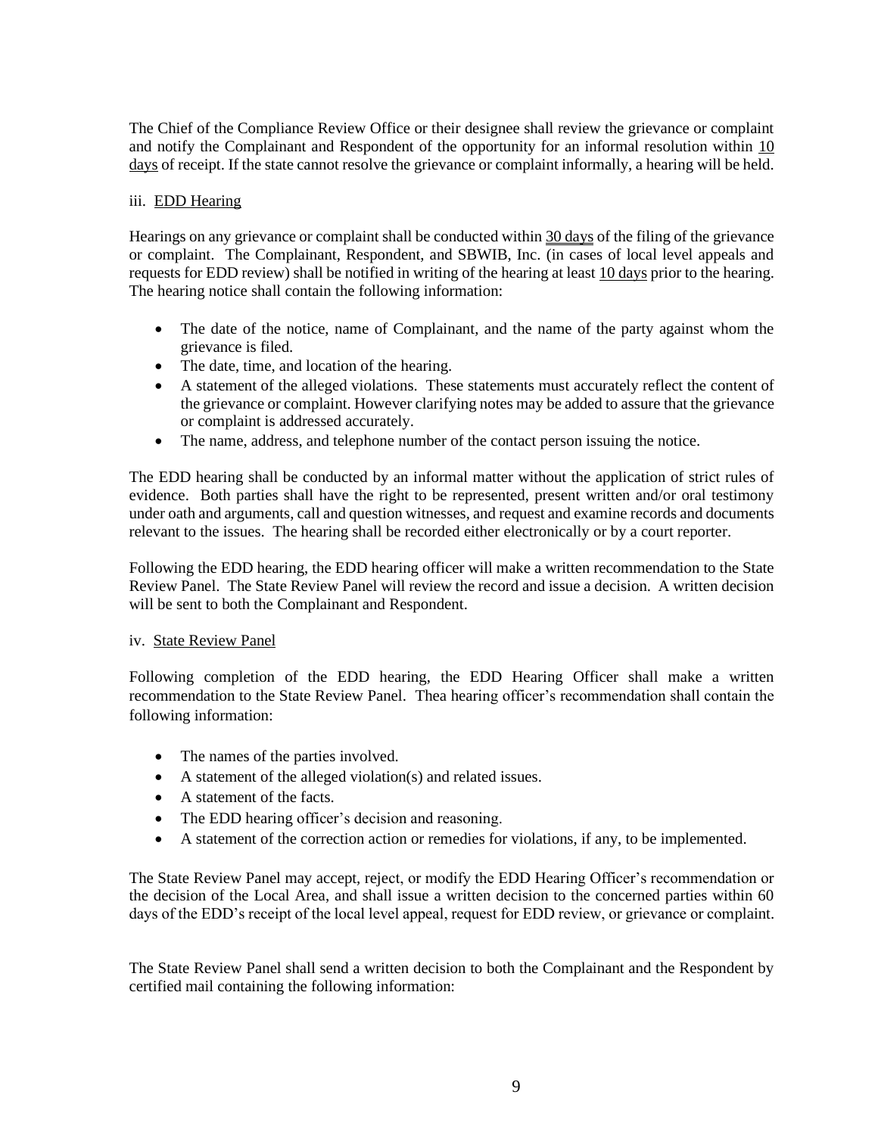The Chief of the Compliance Review Office or their designee shall review the grievance or complaint and notify the Complainant and Respondent of the opportunity for an informal resolution within 10 days of receipt. If the state cannot resolve the grievance or complaint informally, a hearing will be held.

# iii. EDD Hearing

Hearings on any grievance or complaint shall be conducted within 30 days of the filing of the grievance or complaint. The Complainant, Respondent, and SBWIB, Inc. (in cases of local level appeals and requests for EDD review) shall be notified in writing of the hearing at least 10 days prior to the hearing. The hearing notice shall contain the following information:

- The date of the notice, name of Complainant, and the name of the party against whom the grievance is filed.
- The date, time, and location of the hearing.
- A statement of the alleged violations. These statements must accurately reflect the content of the grievance or complaint. However clarifying notes may be added to assure that the grievance or complaint is addressed accurately.
- The name, address, and telephone number of the contact person issuing the notice.

The EDD hearing shall be conducted by an informal matter without the application of strict rules of evidence. Both parties shall have the right to be represented, present written and/or oral testimony under oath and arguments, call and question witnesses, and request and examine records and documents relevant to the issues. The hearing shall be recorded either electronically or by a court reporter.

Following the EDD hearing, the EDD hearing officer will make a written recommendation to the State Review Panel. The State Review Panel will review the record and issue a decision. A written decision will be sent to both the Complainant and Respondent.

## iv. State Review Panel

Following completion of the EDD hearing, the EDD Hearing Officer shall make a written recommendation to the State Review Panel. Thea hearing officer's recommendation shall contain the following information:

- The names of the parties involved.
- A statement of the alleged violation(s) and related issues.
- A statement of the facts.
- The EDD hearing officer's decision and reasoning.
- A statement of the correction action or remedies for violations, if any, to be implemented.

The State Review Panel may accept, reject, or modify the EDD Hearing Officer's recommendation or the decision of the Local Area, and shall issue a written decision to the concerned parties within 60 days of the EDD's receipt of the local level appeal, request for EDD review, or grievance or complaint.

The State Review Panel shall send a written decision to both the Complainant and the Respondent by certified mail containing the following information: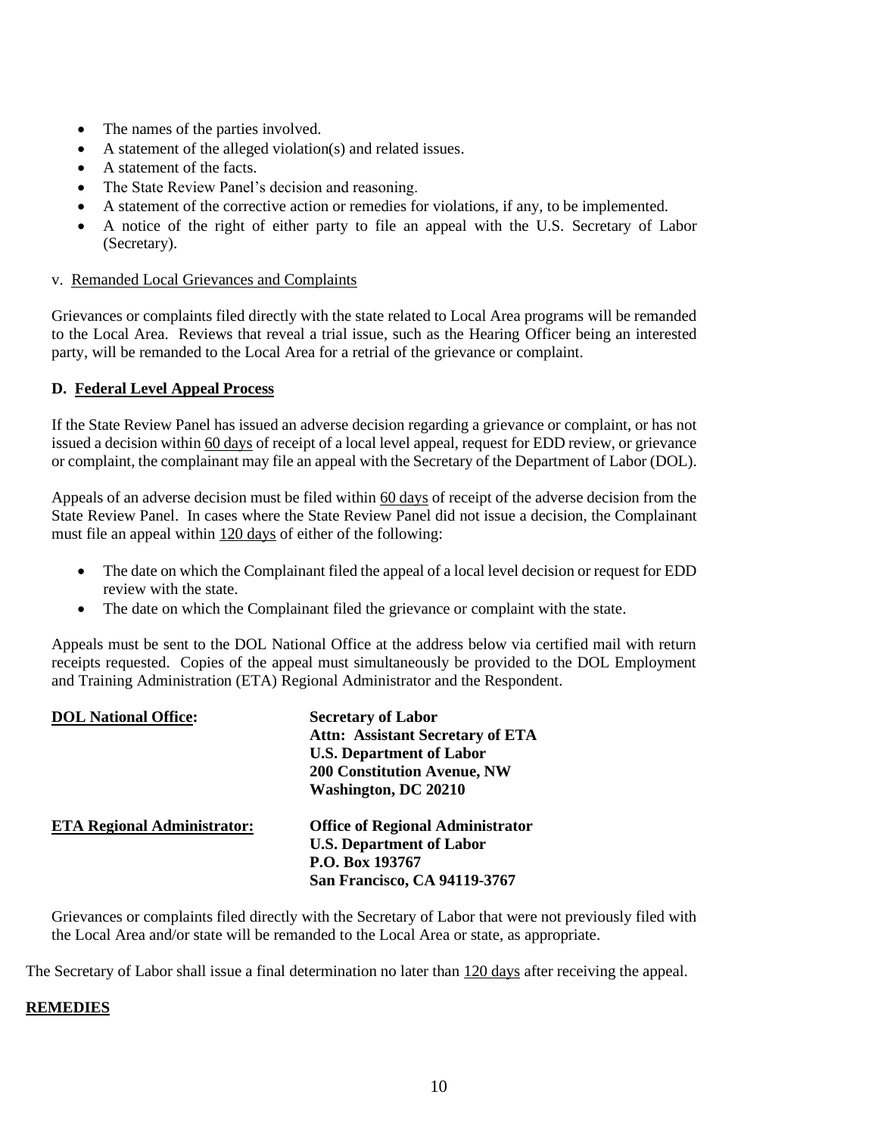- The names of the parties involved.
- A statement of the alleged violation(s) and related issues.
- A statement of the facts.
- The State Review Panel's decision and reasoning.
- A statement of the corrective action or remedies for violations, if any, to be implemented.
- A notice of the right of either party to file an appeal with the U.S. Secretary of Labor (Secretary).

#### v. Remanded Local Grievances and Complaints

Grievances or complaints filed directly with the state related to Local Area programs will be remanded to the Local Area. Reviews that reveal a trial issue, such as the Hearing Officer being an interested party, will be remanded to the Local Area for a retrial of the grievance or complaint.

## **D. Federal Level Appeal Process**

If the State Review Panel has issued an adverse decision regarding a grievance or complaint, or has not issued a decision within 60 days of receipt of a local level appeal, request for EDD review, or grievance or complaint, the complainant may file an appeal with the Secretary of the Department of Labor (DOL).

Appeals of an adverse decision must be filed within 60 days of receipt of the adverse decision from the State Review Panel. In cases where the State Review Panel did not issue a decision, the Complainant must file an appeal within 120 days of either of the following:

- The date on which the Complainant filed the appeal of a local level decision or request for EDD review with the state.
- The date on which the Complainant filed the grievance or complaint with the state.

Appeals must be sent to the DOL National Office at the address below via certified mail with return receipts requested. Copies of the appeal must simultaneously be provided to the DOL Employment and Training Administration (ETA) Regional Administrator and the Respondent.

| <b>DOL National Office:</b>        | <b>Secretary of Labor</b><br><b>Attn: Assistant Secretary of ETA</b><br><b>U.S. Department of Labor</b><br><b>200 Constitution Avenue, NW</b><br><b>Washington, DC 20210</b> |
|------------------------------------|------------------------------------------------------------------------------------------------------------------------------------------------------------------------------|
| <b>ETA Regional Administrator:</b> | <b>Office of Regional Administrator</b><br><b>U.S. Department of Labor</b><br>P.O. Box 193767<br>San Francisco, CA 94119-3767                                                |

Grievances or complaints filed directly with the Secretary of Labor that were not previously filed with the Local Area and/or state will be remanded to the Local Area or state, as appropriate.

The Secretary of Labor shall issue a final determination no later than 120 days after receiving the appeal.

## **REMEDIES**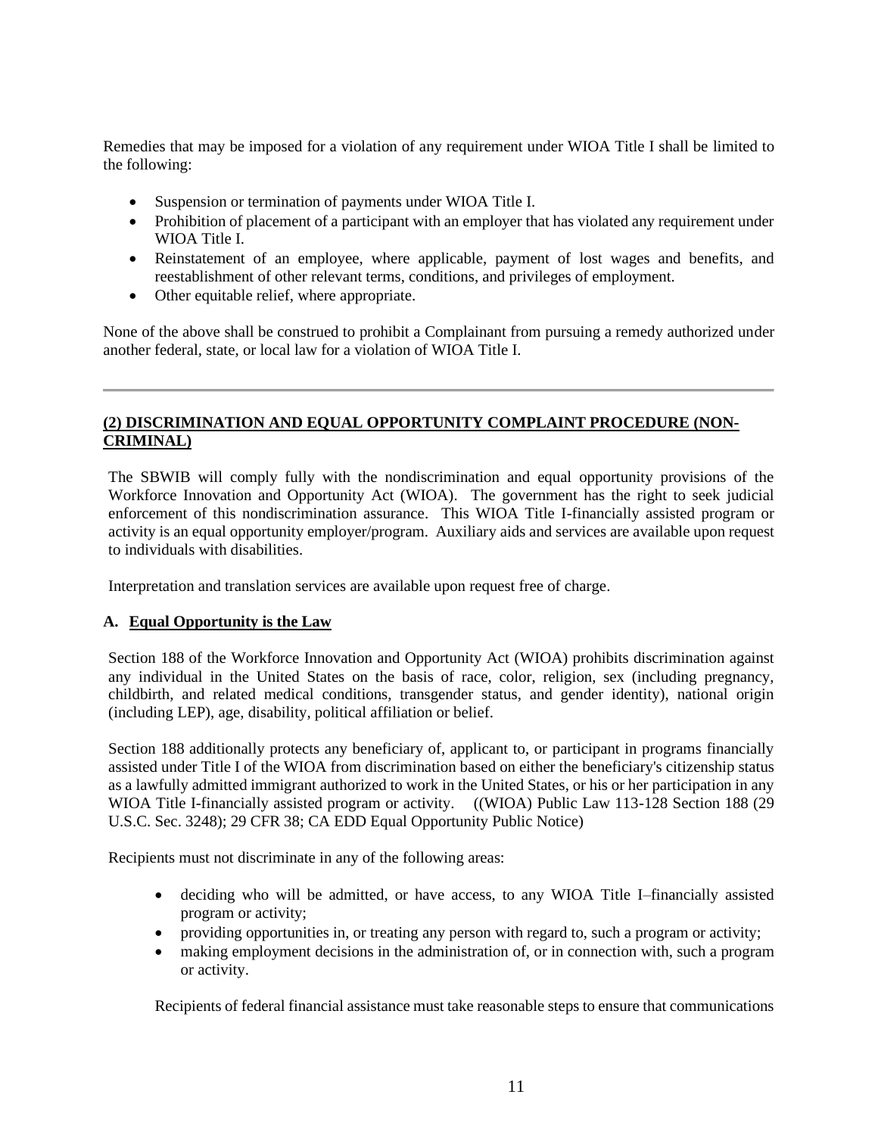Remedies that may be imposed for a violation of any requirement under WIOA Title I shall be limited to the following:

- Suspension or termination of payments under WIOA Title I.
- Prohibition of placement of a participant with an employer that has violated any requirement under WIOA Title I.
- Reinstatement of an employee, where applicable, payment of lost wages and benefits, and reestablishment of other relevant terms, conditions, and privileges of employment.
- Other equitable relief, where appropriate.

None of the above shall be construed to prohibit a Complainant from pursuing a remedy authorized under another federal, state, or local law for a violation of WIOA Title I.

# **(2) DISCRIMINATION AND EQUAL OPPORTUNITY COMPLAINT PROCEDURE (NON-CRIMINAL)**

The SBWIB will comply fully with the nondiscrimination and equal opportunity provisions of the Workforce Innovation and Opportunity Act (WIOA). The government has the right to seek judicial enforcement of this nondiscrimination assurance. This WIOA Title I-financially assisted program or activity is an equal opportunity employer/program. Auxiliary aids and services are available upon request to individuals with disabilities.

Interpretation and translation services are available upon request free of charge.

## **A. Equal Opportunity is the Law**

Section 188 of the Workforce Innovation and Opportunity Act (WIOA) prohibits discrimination against any individual in the United States on the basis of race, color, religion, sex (including pregnancy, childbirth, and related medical conditions, transgender status, and gender identity), national origin (including LEP), age, disability, political affiliation or belief.

Section 188 additionally protects any beneficiary of, applicant to, or participant in programs financially assisted under Title I of the WIOA from discrimination based on either the beneficiary's citizenship status as a lawfully admitted immigrant authorized to work in the United States, or his or her participation in any WIOA Title I-financially assisted program or activity. ((WIOA) Public Law 113-128 Section 188 (29 U.S.C. Sec. 3248); 29 CFR 38; CA EDD Equal Opportunity Public Notice)

Recipients must not discriminate in any of the following areas:

- deciding who will be admitted, or have access, to any WIOA Title I–financially assisted program or activity;
- providing opportunities in, or treating any person with regard to, such a program or activity;
- making employment decisions in the administration of, or in connection with, such a program or activity.

Recipients of federal financial assistance must take reasonable steps to ensure that communications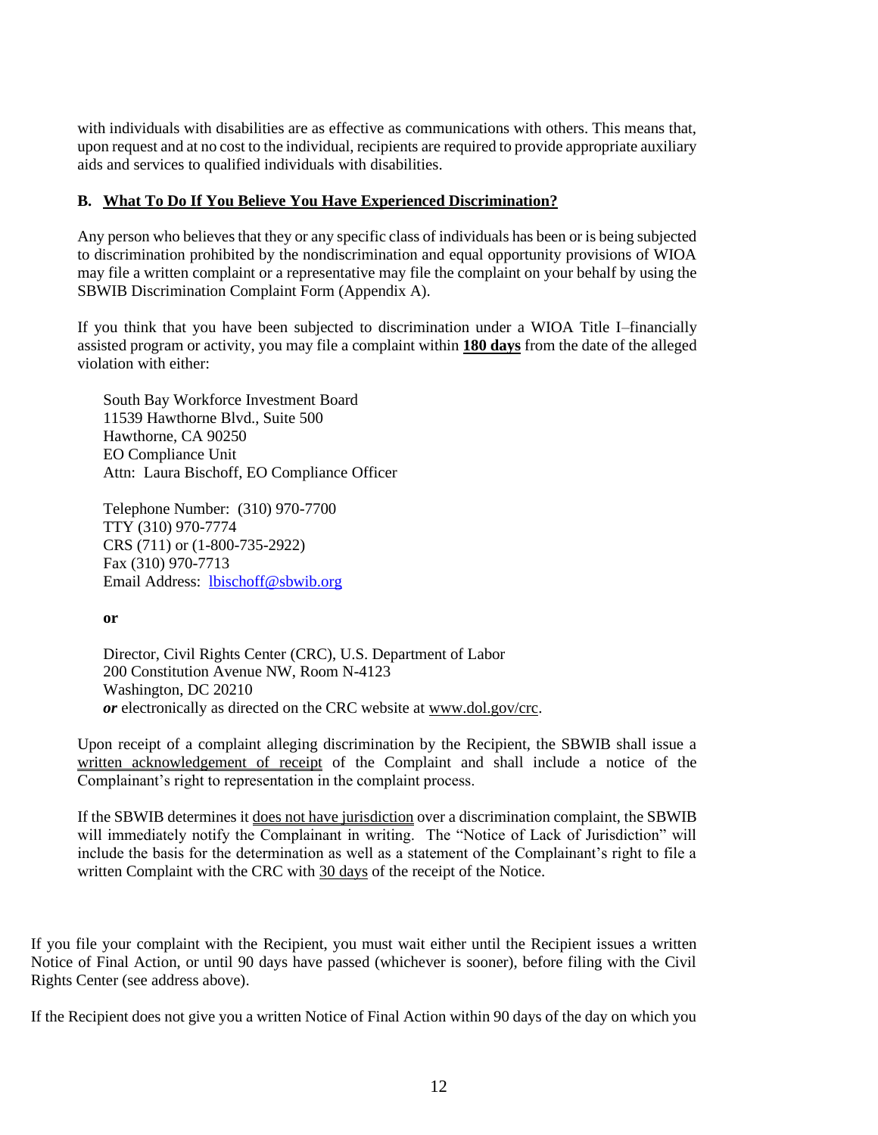with individuals with disabilities are as effective as communications with others. This means that, upon request and at no cost to the individual, recipients are required to provide appropriate auxiliary aids and services to qualified individuals with disabilities.

# **B. What To Do If You Believe You Have Experienced Discrimination?**

Any person who believes that they or any specific class of individuals has been or is being subjected to discrimination prohibited by the nondiscrimination and equal opportunity provisions of WIOA may file a written complaint or a representative may file the complaint on your behalf by using the SBWIB Discrimination Complaint Form (Appendix A).

If you think that you have been subjected to discrimination under a WIOA Title I–financially assisted program or activity, you may file a complaint within **180 days** from the date of the alleged violation with either:

South Bay Workforce Investment Board 11539 Hawthorne Blvd., Suite 500 Hawthorne, CA 90250 EO Compliance Unit Attn: Laura Bischoff, EO Compliance Officer

Telephone Number: (310) 970-7700 TTY (310) 970-7774 CRS (711) or (1-800-735-2922) Fax (310) 970-7713 Email Address: [lbischoff@sbwib.org](mailto:lbischoff@sbwib.org)

**or**

Director, Civil Rights Center (CRC), U.S. Department of Labor 200 Constitution Avenue NW, Room N-4123 Washington, DC 20210 *or* electronically as directed on the CRC website at [www.dol.gov/crc.](http://www.dol.gov/crc)

Upon receipt of a complaint alleging discrimination by the Recipient, the SBWIB shall issue a written acknowledgement of receipt of the Complaint and shall include a notice of the Complainant's right to representation in the complaint process.

If the SBWIB determines it does not have jurisdiction over a discrimination complaint, the SBWIB will immediately notify the Complainant in writing. The "Notice of Lack of Jurisdiction" will include the basis for the determination as well as a statement of the Complainant's right to file a written Complaint with the CRC with 30 days of the receipt of the Notice.

If you file your complaint with the Recipient, you must wait either until the Recipient issues a written Notice of Final Action, or until 90 days have passed (whichever is sooner), before filing with the Civil Rights Center (see address above).

If the Recipient does not give you a written Notice of Final Action within 90 days of the day on which you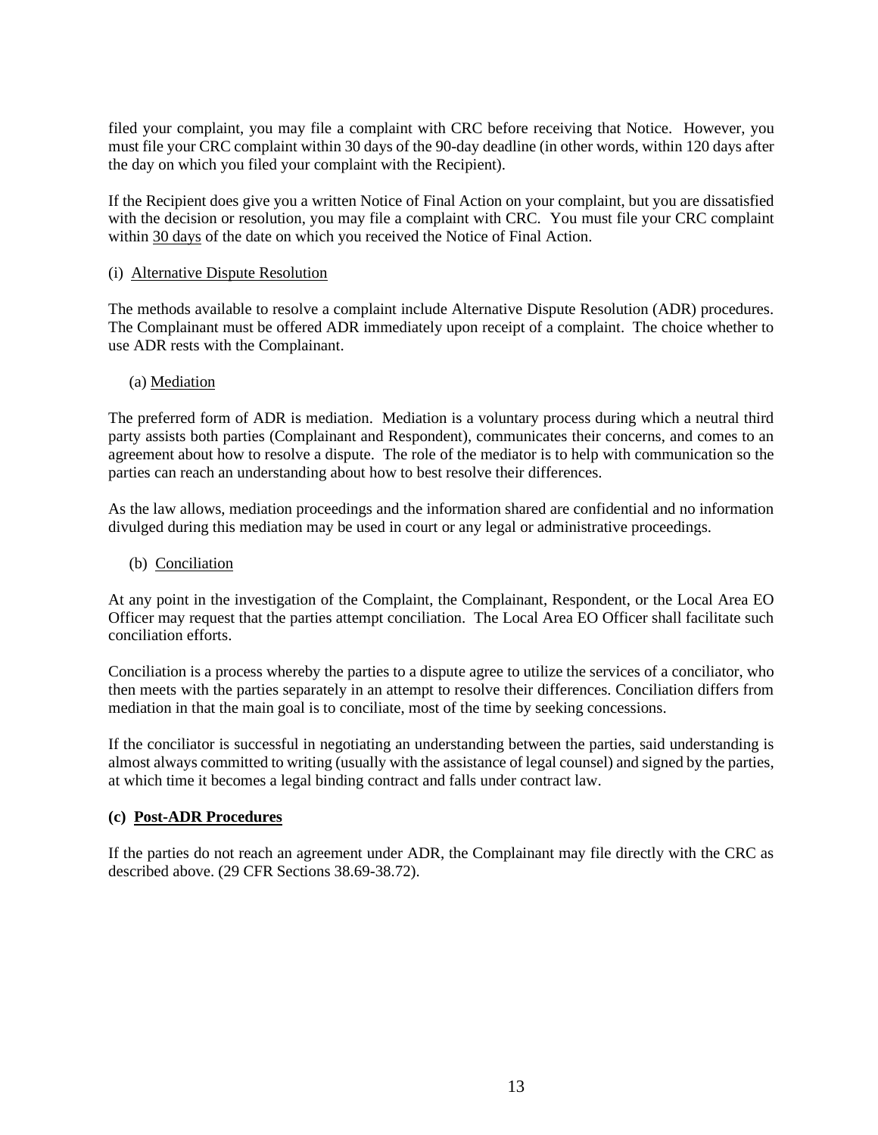filed your complaint, you may file a complaint with CRC before receiving that Notice. However, you must file your CRC complaint within 30 days of the 90-day deadline (in other words, within 120 days after the day on which you filed your complaint with the Recipient).

If the Recipient does give you a written Notice of Final Action on your complaint, but you are dissatisfied with the decision or resolution, you may file a complaint with CRC. You must file your CRC complaint within 30 days of the date on which you received the Notice of Final Action.

#### (i) Alternative Dispute Resolution

The methods available to resolve a complaint include Alternative Dispute Resolution (ADR) procedures. The Complainant must be offered ADR immediately upon receipt of a complaint. The choice whether to use ADR rests with the Complainant.

#### (a) Mediation

The preferred form of ADR is mediation. Mediation is a voluntary process during which a neutral third party assists both parties (Complainant and Respondent), communicates their concerns, and comes to an agreement about how to resolve a dispute. The role of the mediator is to help with communication so the parties can reach an understanding about how to best resolve their differences.

As the law allows, mediation proceedings and the information shared are confidential and no information divulged during this mediation may be used in court or any legal or administrative proceedings.

#### (b) Conciliation

At any point in the investigation of the Complaint, the Complainant, Respondent, or the Local Area EO Officer may request that the parties attempt conciliation. The Local Area EO Officer shall facilitate such conciliation efforts.

Conciliation is a process whereby the parties to a dispute agree to utilize the services of a conciliator, who then meets with the parties separately in an attempt to resolve their differences. Conciliation differs from mediation in that the main goal is to conciliate, most of the time by seeking concessions.

If the conciliator is successful in negotiating an understanding between the parties, said understanding is almost always committed to writing (usually with the assistance of legal counsel) and signed by the parties, at which time it becomes a legal binding contract and falls under contract law.

## **(c) Post-ADR Procedures**

If the parties do not reach an agreement under ADR, the Complainant may file directly with the CRC as described above. (29 CFR Sections 38.69-38.72).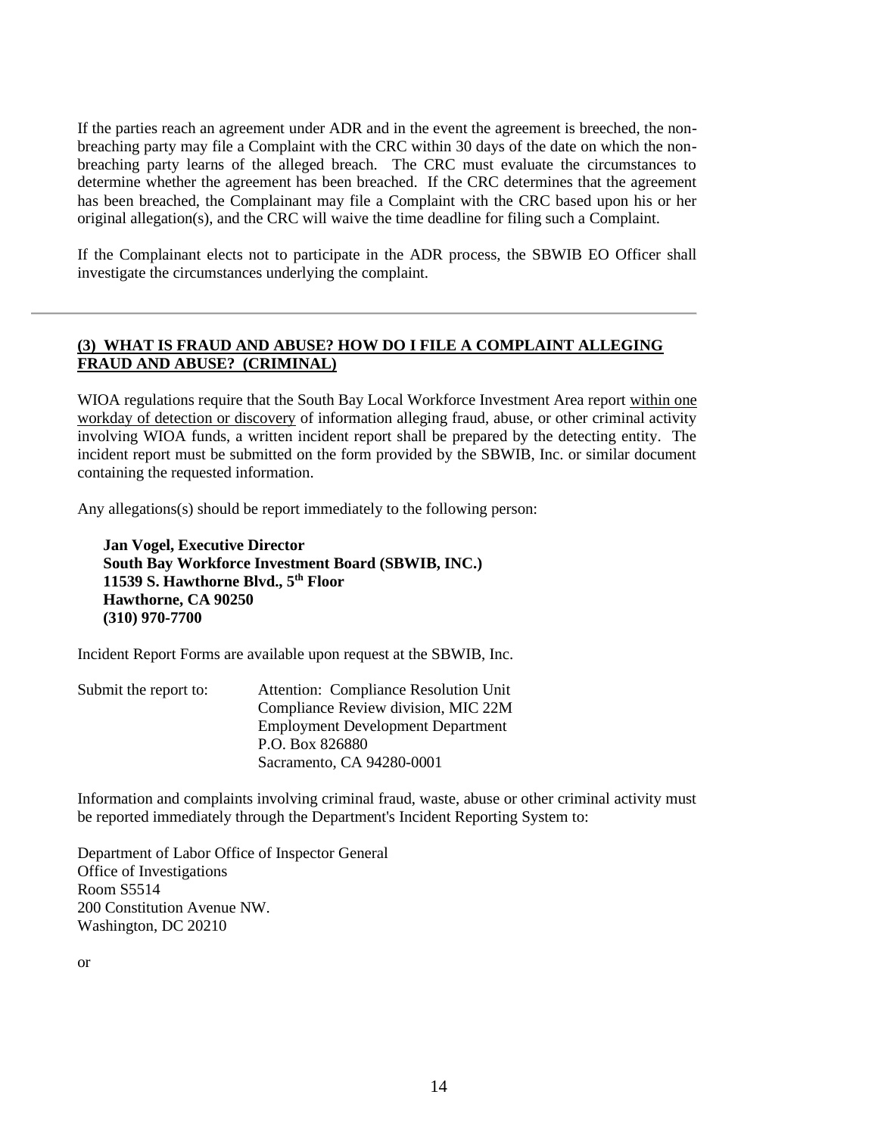If the parties reach an agreement under ADR and in the event the agreement is breeched, the nonbreaching party may file a Complaint with the CRC within 30 days of the date on which the nonbreaching party learns of the alleged breach. The CRC must evaluate the circumstances to determine whether the agreement has been breached. If the CRC determines that the agreement has been breached, the Complainant may file a Complaint with the CRC based upon his or her original allegation(s), and the CRC will waive the time deadline for filing such a Complaint.

If the Complainant elects not to participate in the ADR process, the SBWIB EO Officer shall investigate the circumstances underlying the complaint.

# **(3) WHAT IS FRAUD AND ABUSE? HOW DO I FILE A COMPLAINT ALLEGING FRAUD AND ABUSE? (CRIMINAL)**

WIOA regulations require that the South Bay Local Workforce Investment Area report within one workday of detection or discovery of information alleging fraud, abuse, or other criminal activity involving WIOA funds, a written incident report shall be prepared by the detecting entity. The incident report must be submitted on the form provided by the SBWIB, Inc. or similar document containing the requested information.

Any allegations(s) should be report immediately to the following person:

**Jan Vogel, Executive Director South Bay Workforce Investment Board (SBWIB, INC.) 11539 S. Hawthorne Blvd., 5th Floor Hawthorne, CA 90250 (310) 970-7700**

Incident Report Forms are available upon request at the SBWIB, Inc.

Submit the report to: Attention: Compliance Resolution Unit Compliance Review division, MIC 22M Employment Development Department P.O. Box 826880 Sacramento, CA 94280-0001

Information and complaints involving criminal fraud, waste, abuse or other criminal activity must be reported immediately through the Department's Incident Reporting System to:

Department of Labor Office of Inspector General Office of Investigations Room S5514 200 Constitution Avenue NW. Washington, DC 20210

or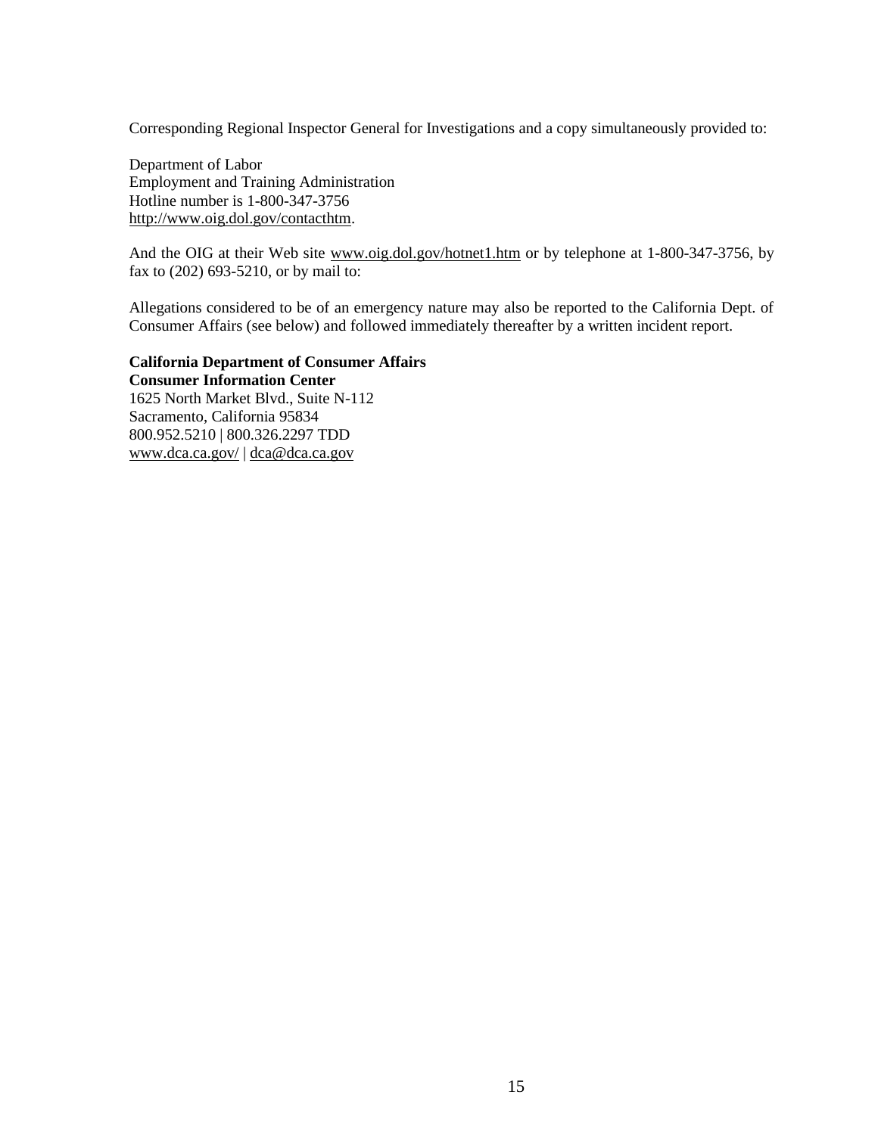Corresponding Regional Inspector General for Investigations and a copy simultaneously provided to:

Department of Labor Employment and Training Administration Hotline number is 1-800-347-3756 [http://www.oig.dol.gov/contacthtm.](http://www.oig.dol.gov/contacthtm)

And the OIG at their Web site [www.oig.dol.gov/hotnet1.htm](http://www.oig.dol.gov/hotnet1.htm) or by telephone at 1-800-347-3756, by fax to (202) 693-5210, or by mail to:

Allegations considered to be of an emergency nature may also be reported to the California Dept. of Consumer Affairs (see below) and followed immediately thereafter by a written incident report.

**California Department of Consumer Affairs Consumer Information Center** 1625 North Market Blvd., Suite N-112 Sacramento, California 95834 800.952.5210 | 800.326.2297 TDD [www.dca.ca.gov/](http://www.dca.ca.gov/) | [dca@dca.ca.gov](http://www.dca.ca.gov/about_dca/contact/index.shtml)